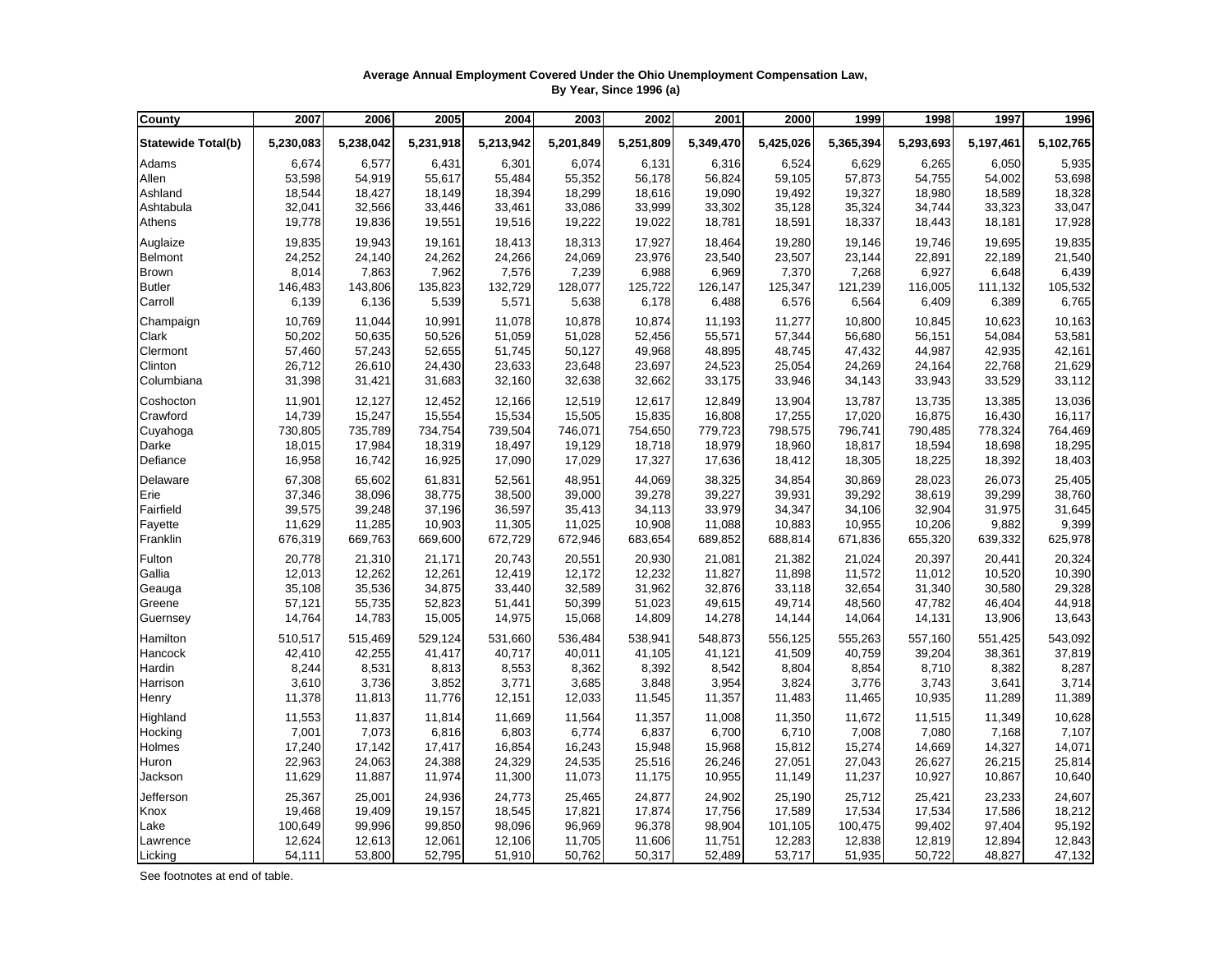## **Average Annual Employment Covered Under the Ohio Unemployment Compensation Law, By Year, Since 1996 (a)**

| County                    | 2007      | 2006      | 2005      | 2004      | 2003      | 2002      | 2001      | 2000      | 1999      | 1998      | 1997      | 1996      |
|---------------------------|-----------|-----------|-----------|-----------|-----------|-----------|-----------|-----------|-----------|-----------|-----------|-----------|
| <b>Statewide Total(b)</b> | 5,230,083 | 5,238,042 | 5,231,918 | 5,213,942 | 5,201,849 | 5,251,809 | 5,349,470 | 5,425,026 | 5,365,394 | 5,293,693 | 5,197,461 | 5,102,765 |
| Adams                     | 6,674     | 6,577     | 6,431     | 6,301     | 6,074     | 6,131     | 6,316     | 6,524     | 6,629     | 6,265     | 6,050     | 5,935     |
| Allen                     | 53,598    | 54,919    | 55,617    | 55,484    | 55,352    | 56,178    | 56,824    | 59,105    | 57,873    | 54,755    | 54,002    | 53,698    |
| Ashland                   | 18,544    | 18,427    | 18,149    | 18,394    | 18,299    | 18,616    | 19,090    | 19,492    | 19,327    | 18,980    | 18,589    | 18,328    |
| Ashtabula                 | 32,041    | 32,566    | 33,446    | 33,461    | 33,086    | 33,999    | 33,302    | 35,128    | 35,324    | 34,744    | 33,323    | 33,047    |
| Athens                    | 19,778    | 19,836    | 19,551    | 19,516    | 19,222    | 19,022    | 18,781    | 18,591    | 18,337    | 18,443    | 18,181    | 17,928    |
| Auglaize                  | 19,835    | 19,943    | 19,161    | 18,413    | 18,313    | 17,927    | 18,464    | 19,280    | 19,146    | 19,746    | 19,695    | 19,835    |
| Belmont                   | 24,252    | 24,140    | 24,262    | 24,266    | 24,069    | 23,976    | 23,540    | 23,507    | 23,144    | 22,891    | 22,189    | 21,540    |
| <b>Brown</b>              | 8,014     | 7,863     | 7,962     | 7,576     | 7,239     | 6,988     | 6,969     | 7,370     | 7,268     | 6,927     | 6,648     | 6,439     |
| <b>Butler</b>             | 146,483   | 143,806   | 135,823   | 132,729   | 128,077   | 125,722   | 126,147   | 125,347   | 121,239   | 116,005   | 111,132   | 105,532   |
| Carroll                   | 6,139     | 6,136     | 5,539     | 5,571     | 5,638     | 6,178     | 6,488     | 6,576     | 6,564     | 6,409     | 6,389     | 6,765     |
| Champaign                 | 10,769    | 11,044    | 10,991    | 11,078    | 10,878    | 10,874    | 11,193    | 11,277    | 10,800    | 10,845    | 10,623    | 10,163    |
| Clark                     | 50,202    | 50,635    | 50,526    | 51,059    | 51,028    | 52,456    | 55,571    | 57,344    | 56,680    | 56,151    | 54,084    | 53,581    |
| Clermont                  | 57,460    | 57,243    | 52,655    | 51,745    | 50,127    | 49,968    | 48,895    | 48,745    | 47,432    | 44,987    | 42,935    | 42,161    |
| Clinton                   | 26,712    | 26,610    | 24,430    | 23,633    | 23,648    | 23,697    | 24,523    | 25,054    | 24,269    | 24,164    | 22,768    | 21,629    |
| Columbiana                | 31,398    | 31,421    | 31,683    | 32,160    | 32,638    | 32,662    | 33,175    | 33,946    | 34,143    | 33,943    | 33,529    | 33,112    |
| Coshocton                 | 11,901    | 12,127    | 12,452    | 12,166    | 12,519    | 12,617    | 12,849    | 13,904    | 13,787    | 13,735    | 13,385    | 13,036    |
| Crawford                  | 14,739    | 15,247    | 15,554    | 15,534    | 15,505    | 15,835    | 16,808    | 17,255    | 17,020    | 16,875    | 16,430    | 16,117    |
| Cuyahoga                  | 730,805   | 735,789   | 734,754   | 739,504   | 746,071   | 754,650   | 779,723   | 798,575   | 796,741   | 790,485   | 778,324   | 764,469   |
| Darke                     | 18,015    | 17,984    | 18,319    | 18,497    | 19,129    | 18,718    | 18,979    | 18,960    | 18,817    | 18,594    | 18,698    | 18,295    |
| Defiance                  | 16,958    | 16,742    | 16,925    | 17,090    | 17,029    | 17,327    | 17,636    | 18,412    | 18,305    | 18,225    | 18,392    | 18,403    |
| Delaware                  | 67,308    | 65,602    | 61,831    | 52,561    | 48,951    | 44,069    | 38,325    | 34,854    | 30,869    | 28,023    | 26,073    | 25,405    |
| Erie                      | 37,346    | 38,096    | 38,775    | 38,500    | 39,000    | 39,278    | 39,227    | 39,931    | 39,292    | 38,619    | 39,299    | 38,760    |
| Fairfield                 | 39,575    | 39,248    | 37,196    | 36,597    | 35,413    | 34,113    | 33,979    | 34,347    | 34,106    | 32,904    | 31,975    | 31,645    |
| Fayette                   | 11,629    | 11,285    | 10,903    | 11,305    | 11,025    | 10,908    | 11,088    | 10,883    | 10,955    | 10,206    | 9,882     | 9,399     |
| Franklin                  | 676,319   | 669,763   | 669,600   | 672,729   | 672,946   | 683,654   | 689,852   | 688,814   | 671,836   | 655,320   | 639,332   | 625,978   |
| Fulton                    | 20,778    | 21,310    | 21,171    | 20,743    | 20,551    | 20,930    | 21,081    | 21,382    | 21,024    | 20,397    | 20,441    | 20,324    |
| Gallia                    | 12,013    | 12,262    | 12,261    | 12,419    | 12,172    | 12,232    | 11,827    | 11,898    | 11,572    | 11,012    | 10,520    | 10,390    |
| Geauga                    | 35,108    | 35,536    | 34,875    | 33,440    | 32,589    | 31,962    | 32,876    | 33,118    | 32,654    | 31,340    | 30,580    | 29,328    |
| Greene                    | 57,121    | 55,735    | 52,823    | 51,441    | 50,399    | 51,023    | 49,615    | 49,714    | 48,560    | 47,782    | 46,404    | 44,918    |
| Guernsey                  | 14,764    | 14,783    | 15,005    | 14,975    | 15,068    | 14,809    | 14,278    | 14,144    | 14,064    | 14,131    | 13,906    | 13,643    |
| Hamilton                  | 510,517   | 515,469   | 529,124   | 531,660   | 536,484   | 538,941   | 548,873   | 556,125   | 555,263   | 557,160   | 551,425   | 543,092   |
| Hancock                   | 42,410    | 42,255    | 41,417    | 40,717    | 40,011    | 41,105    | 41,121    | 41,509    | 40,759    | 39,204    | 38,361    | 37,819    |
| Hardin                    | 8,244     | 8,531     | 8,813     | 8,553     | 8,362     | 8,392     | 8,542     | 8,804     | 8,854     | 8,710     | 8,382     | 8,287     |
| Harrison                  | 3,610     | 3,736     | 3,852     | 3,771     | 3,685     | 3,848     | 3,954     | 3,824     | 3,776     | 3,743     | 3,641     | 3,714     |
| Henry                     | 11,378    | 11,813    | 11,776    | 12,151    | 12,033    | 11,545    | 11,357    | 11,483    | 11,465    | 10,935    | 11,289    | 11,389    |
| Highland                  | 11,553    | 11,837    | 11,814    | 11,669    | 11,564    | 11,357    | 11,008    | 11,350    | 11,672    | 11,515    | 11,349    | 10,628    |
| Hocking                   | 7,001     | 7,073     | 6,816     | 6,803     | 6,774     | 6,837     | 6,700     | 6,710     | 7,008     | 7,080     | 7,168     | 7,107     |
| Holmes                    | 17,240    | 17,142    | 17,417    | 16,854    | 16,243    | 15,948    | 15,968    | 15,812    | 15,274    | 14,669    | 14,327    | 14,071    |
| Huron                     | 22,963    | 24,063    | 24,388    | 24,329    | 24,535    | 25,516    | 26,246    | 27,051    | 27,043    | 26,627    | 26,215    | 25,814    |
| Jackson                   | 11,629    | 11,887    | 11,974    | 11,300    | 11,073    | 11,175    | 10,955    | 11,149    | 11,237    | 10,927    | 10,867    | 10,640    |
| Jefferson                 | 25,367    | 25,001    | 24,936    | 24,773    | 25,465    | 24,877    | 24,902    | 25,190    | 25,712    | 25,421    | 23,233    | 24,607    |
| Knox                      | 19,468    | 19,409    | 19,157    | 18,545    | 17,821    | 17,874    | 17,756    | 17,589    | 17,534    | 17,534    | 17,586    | 18,212    |
| Lake                      | 100,649   | 99,996    | 99,850    | 98,096    | 96,969    | 96,378    | 98,904    | 101,105   | 100,475   | 99,402    | 97,404    | 95,192    |
| Lawrence                  | 12,624    | 12,613    | 12,061    | 12,106    | 11,705    | 11,606    | 11,751    | 12,283    | 12,838    | 12,819    | 12,894    | 12,843    |
| Licking                   | 54,111    | 53,800    | 52,795    | 51,910    | 50,762    | 50,317    | 52,489    | 53,717    | 51,935    | 50,722    | 48,827    | 47,132    |

See footnotes at end of table.